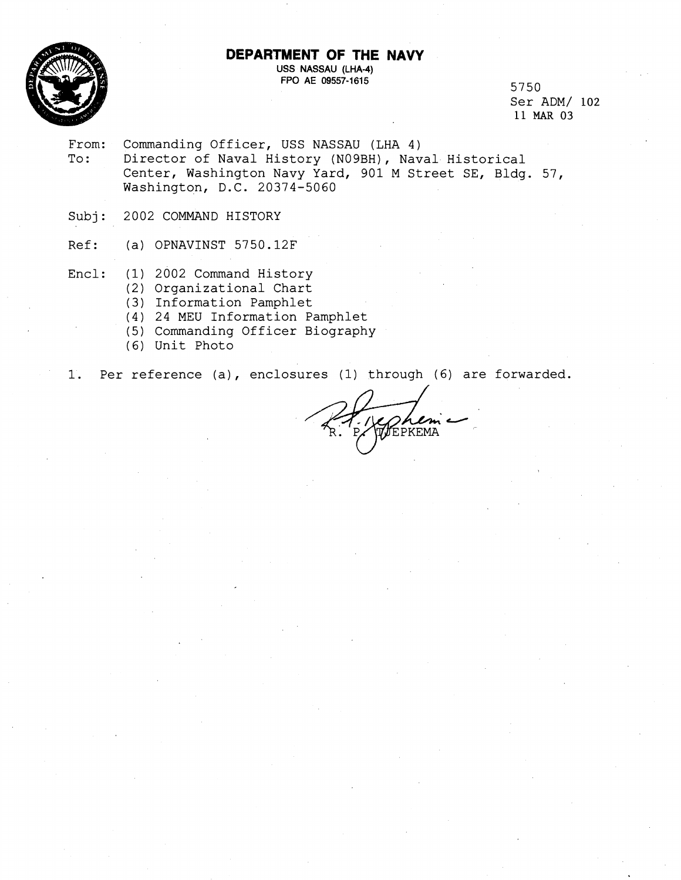

## **DEPARTMENT OF THE NAVY USS NASSAU (LHA-4) FPO AE 09557-1615** 5750

Ser ADM/ 102 11 MAR **03** 

- From: Commanding Officer, USS NASSAU (LHA 4) To: Director of Naval History (NO9BH), Naval Historical Center, Washington Navy Yard, 901 M Street SE, Bldg. 57, Washington, D.C. 20374-5060
- Subj: 2002 COMMAND HISTORY
- Ref: (a) OPNAVINST 5750.12F
- Encl: (1) 2002 Command History
	- (2) Organizational Chart
	- (3) Information Pamphlet
	- (4) 24 MEU Information Pamphlet
	- (5) Commanding Officer Biography
	- (6) Unit Photo
- 1. Per reference (a), enclosures (1) through (6) are forwarded.

EPKEMA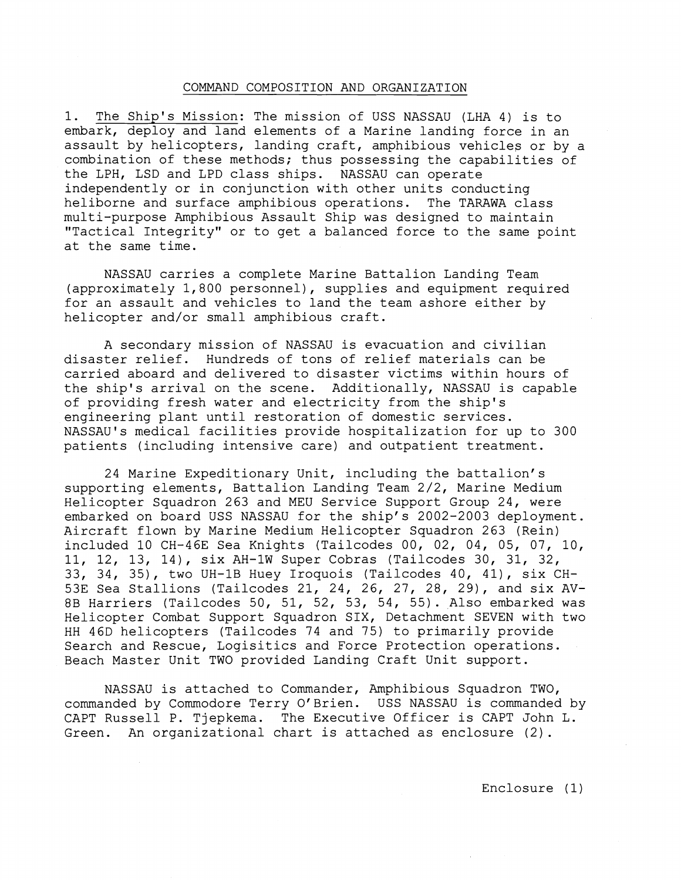## COMMAND COMPOSITION AND ORGANIZATION

1. The Ship's Mission: The mission of USS NASSAU (LHA 4) is to embark, deploy and land elements of a Marine landing force in an assault by helicopters, landing craft, amphibious vehicles or by a combination of these methods; thus possessing the capabilities of the LPH, LSD and LPD class ships. NASSAU can operate independently or in conjunction with other units conducting heliborne and surface amphibious operations. The TARAWA class multi-purpose Amphibious Assault Ship was designed to maintain "Tactical Integrity" or to get a balanced force to the same point at the same time.

NASSAU carries a complete Marine Battalion Landing Team (approximately 1,800 personnel), supplies and equipment required for an assault and vehicles to land the team ashore either by helicopter and/or small amphibious craft.

A secondary mission of NASSAU is evacuation and civilian disaster relief. Hundreds of tons of relief materials can be carried aboard and delivered to disaster victims within hours of the ship's arrival on the scene. Additionally, NASSAU is capable of providing fresh water and electricity from the ship's engineering plant until restoration of domestic services. NASSAU'S medical facilities provide hospitalization for up to 300 patients (including intensive care) and outpatient treatment.

24 Marine Expeditionary Unit, including the battalion's supporting elements, Battalion Landing Team 2/2, Marine Medium Helicopter Squadron 263 and MEU Service Support Group 24, were embarked on board USS NASSAU for the ship's 2002-2003 deployment. Aircraft flown by Marine Medium Helicopter Squadron 263 (Rein) included 10 CH-46E Sea Knights (Tailcodes 00, 02, 04, 05, 07, 10, 11, 12, 13, 14), six AH-1W Super Cobras (Tailcodes 30, 31, 32, 33, 34, 35), two UH-1B Huey Iroquois (Tailcodes 40, 41), six CH-53E Sea Stallions (Tailcodes 21, 24, 26, 27, 28, 29), and six AV-8B Harriers (Tailcodes 50, 51, 52, 53, 54, 55). Also embarked was Helicopter Combat Support Squadron SIX, Detachment SEVEN with two HH 46D helicopters (Tailcodes 74 and 75) to primarily provide Search and Rescue, Logisitics and Force Protection operations. Beach Master Unit TWO provided Landing Craft Unit support.

NASSAU is attached to Commander, Amphibious Squadron TWO, commanded by Commodore Terry O'Brien. USS NASSAU is commanded by CAPT Russell P. Tjepkema. The Executive Officer is CAPT John L. Green. An organizational chart is attached as enclosure (2).

Enclosure (1)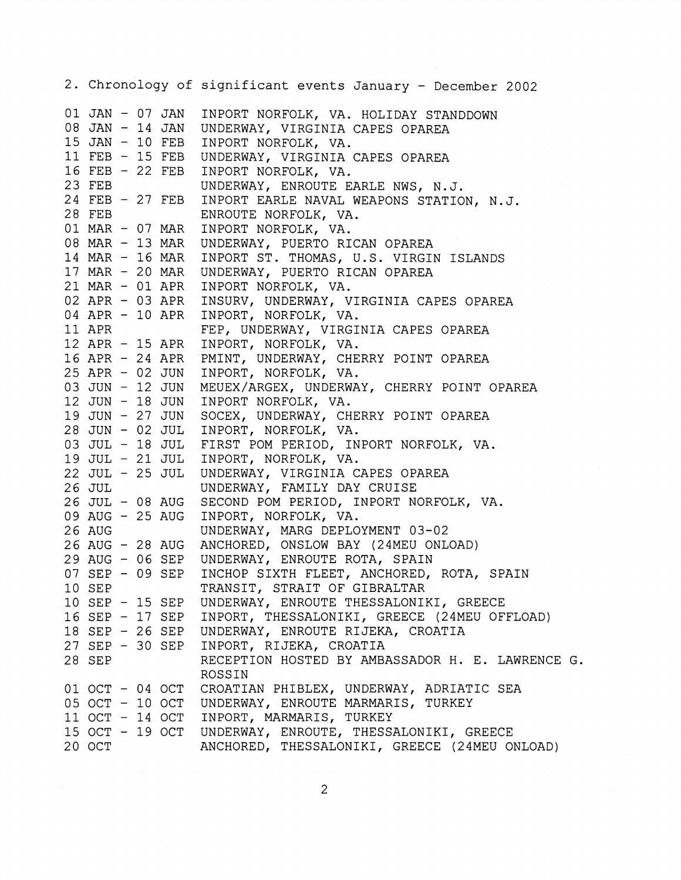|                 |  |                     | 2. Chronology of significant events January - December 2002  |
|-----------------|--|---------------------|--------------------------------------------------------------|
|                 |  | 01 JAN - 07 JAN     | INPORT NORFOLK, VA. HOLIDAY STANDDOWN                        |
|                 |  | 08 JAN - 14 JAN     | UNDERWAY, VIRGINIA CAPES OPAREA                              |
|                 |  | 15 JAN - 10 FEB     | INPORT NORFOLK, VA.                                          |
|                 |  | 11 FEB - 15 FEB     | UNDERWAY, VIRGINIA CAPES OPAREA                              |
|                 |  | 16 FEB - 22 FEB     | INPORT NORFOLK, VA.                                          |
| 23 FEB          |  |                     | UNDERWAY, ENROUTE EARLE NWS, N.J.                            |
| 24 FEB - 27 FEB |  |                     | INPORT EARLE NAVAL WEAPONS STATION, N.J.                     |
| 28 FEB          |  |                     | ENROUTE NORFOLK, VA.                                         |
|                 |  | 01 MAR - 07 MAR     | INPORT NORFOLK, VA.                                          |
|                 |  | 08 MAR - 13 MAR     | UNDERWAY, PUERTO RICAN OPAREA                                |
| 14 MAR - 16 MAR |  |                     | INPORT ST. THOMAS, U.S. VIRGIN ISLANDS                       |
|                 |  | 17 MAR - 20 MAR     | UNDERWAY, PUERTO RICAN OPAREA                                |
|                 |  | 21 MAR - 01 APR     | INPORT NORFOLK, VA.                                          |
|                 |  | 02 APR - 03 APR     | INSURV, UNDERWAY, VIRGINIA CAPES OPAREA                      |
|                 |  | 04 APR - 10 APR     | INPORT, NORFOLK, VA.                                         |
| 11 APR 2012     |  |                     | FEP, UNDERWAY, VIRGINIA CAPES OPAREA                         |
|                 |  | 12 APR - 15 APR     | INPORT, NORFOLK, VA.                                         |
|                 |  | 16 APR - 24 APR     | PMINT, UNDERWAY, CHERRY POINT OPAREA                         |
|                 |  | 25 APR - 02 JUN     | INPORT, NORFOLK, VA.                                         |
|                 |  | 03 JUN - 12 JUN     | MEUEX/ARGEX, UNDERWAY, CHERRY POINT OPAREA                   |
| 12 JUN - 18 JUN |  |                     | INPORT NORFOLK, VA.                                          |
|                 |  | $19$ JUN $-$ 27 JUN | SOCEX, UNDERWAY, CHERRY POINT OPAREA                         |
| 28 JUN - 02 JUL |  |                     | INPORT, NORFOLK, VA.                                         |
| 03 JUL - 18 JUL |  |                     | FIRST POM PERIOD, INPORT NORFOLK, VA.                        |
| 19 JUL - 21 JUL |  |                     | INPORT, NORFOLK, VA.                                         |
| 22 JUL - 25 JUL |  |                     | UNDERWAY, VIRGINIA CAPES OPAREA                              |
| 26 JUL          |  |                     | UNDERWAY, FAMILY DAY CRUISE                                  |
|                 |  | 26 JUL - 08 AUG     | SECOND POM PERIOD, INPORT NORFOLK, VA.                       |
| 09 AUG - 25 AUG |  |                     | INPORT, NORFOLK, VA.                                         |
| 26 AUG          |  |                     | UNDERWAY, MARG DEPLOYMENT 03-02                              |
|                 |  | 26 AUG - 28 AUG     | ANCHORED, ONSLOW BAY (24MEU ONLOAD)                          |
|                 |  | 29 AUG - 06 SEP     | UNDERWAY, ENROUTE ROTA, SPAIN                                |
| 07 SEP - 09 SEP |  |                     | INCHOP SIXTH FLEET, ANCHORED, ROTA, SPAIN                    |
| 10 SEP          |  |                     | TRANSIT, STRAIT OF GIBRALTAR                                 |
|                 |  |                     | 10 SEP - 15 SEP UNDERWAY, ENROUTE THESSALONIKI, GREECE       |
|                 |  |                     | 16 SEP - 17 SEP INPORT, THESSALONIKI, GREECE (24MEU OFFLOAD) |
|                 |  |                     | 18 SEP - 26 SEP UNDERWAY, ENROUTE RIJEKA, CROATIA            |
|                 |  |                     | 27 SEP - 30 SEP INPORT, RIJEKA, CROATIA                      |
| 28 SEP          |  |                     | RECEPTION HOSTED BY AMBASSADOR H. E. LAWRENCE G              |
|                 |  |                     | ROSSIN                                                       |
|                 |  | 01 OCT - 04 OCT     | CROATIAN PHIBLEX, UNDERWAY, ADRIATIC SEA                     |
|                 |  | 05 OCT - 10 OCT     | UNDERWAY, ENROUTE MARMARIS, TURKEY                           |
|                 |  | 11 OCT - 14 OCT     | INPORT, MARMARIS, TURKEY                                     |
|                 |  |                     | 15 OCT - 19 OCT UNDERWAY, ENROUTE, THESSALONIKI, GREECE      |
| 20 OCT          |  |                     | ANCHORED, THESSALONIKI, GREECE (24MEU ONLOAD)                |
|                 |  |                     |                                                              |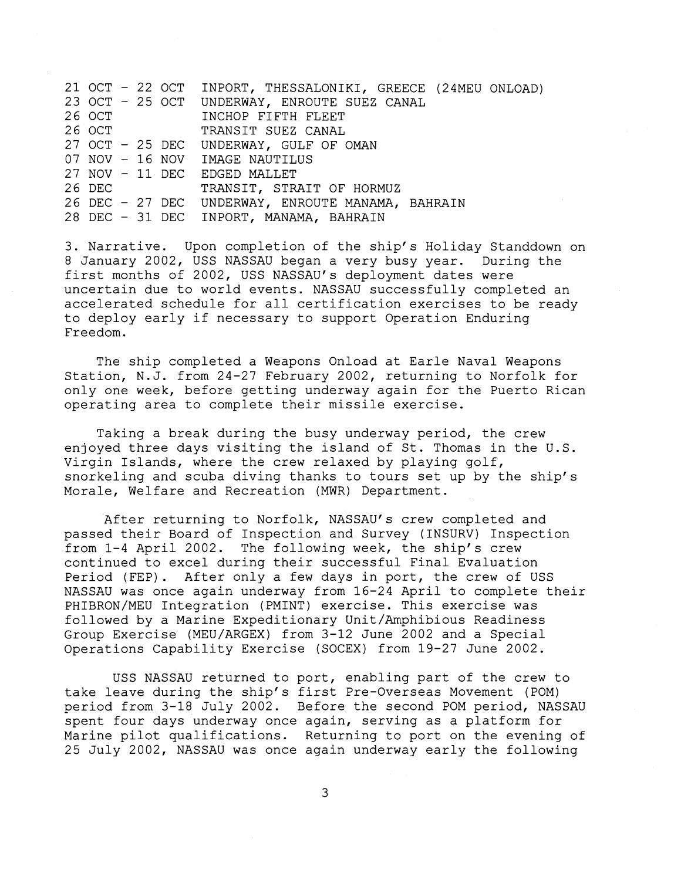|  |  | 21 OCT - 22 OCT INPORT, THESSALONIKI, GREECE (24MEU ONLOAD)<br>23 OCT - 25 OCT UNDERWAY, ENROUTE SUEZ CANAL<br>26 OCT MINCHOP FIFTH FLEET<br>26 OCT TRANSIT SUEZ CANAL |
|--|--|------------------------------------------------------------------------------------------------------------------------------------------------------------------------|
|  |  | 27 OCT - 25 DEC UNDERWAY, GULF OF OMAN                                                                                                                                 |
|  |  | 07 NOV - 16 NOV IMAGE NAUTILUS                                                                                                                                         |
|  |  | 27 NOV - 11 DEC EDGED MALLET                                                                                                                                           |
|  |  | 26 DEC TRANSIT, STRAIT OF HORMUZ                                                                                                                                       |
|  |  | 26 DEC - 27 DEC UNDERWAY, ENROUTE MANAMA, BAHRAIN                                                                                                                      |
|  |  | 28 DEC - 31 DEC INPORT, MANAMA, BAHRAIN                                                                                                                                |

3. Narrative. Upon completion of the ship's Holiday Standdown on 8 January 2002, USS NASSAU began a very busy year. During the first months of 2002, USS NASSAU'S deployment dates were uncertain due to world events. NASSAU successfully completed an accelerated schedule for all certification exercises to be ready to deploy early if necessary to support Operation Enduring Freedom.

The ship completed a Weapons Onload at Earle Naval Weapons Station, N.J. from 24-27 February 2002, returning to Norfolk for only one week, before getting underway again for the Puerto Rican operating area to complete their missile exercise.

Taking a break during the busy underway period, the crew enjoyed three days visiting the island of St. Thomas in the U.S. Virgin Islands, where the crew relaxed by playing golf, snorkeling and scuba diving thanks to tours set up by the ship's Morale, Welfare and Recreation (MWR) Department.

After returning to Norfolk, NASSAU'S crew completed and passed their Board of Inspection and Survey (INSURV) Inspection from 1-4 April 2002. The following week, the ship's crew continued to excel during their successful Final Evaluation Period (FEP). After only a few days in port, the crew of USS NASSAU was once again underway from 16-24 April to complete their PHIBRON/MEU Integration (PMINT) exercise. This exercise was followed by a Marine Expeditionary Unit/Amphibious Readiness Group Exercise (MEU/ARGEX) from 3-12 June 2002 and a Special Operations Capability Exercise (SOCEX) from 19-27 June 2002.

USS NASSAU returned to port, enabling part of the crew to take leave during the ship's first Pre-Overseas Movement (POM) period from 3-18 July 2002. Before the second POM period, NASSAU spent four days underway once again, serving as a platform for Marine pilot qualifications. Returning to port on the evening of 25 July 2002, NASSAU was once again underway early the following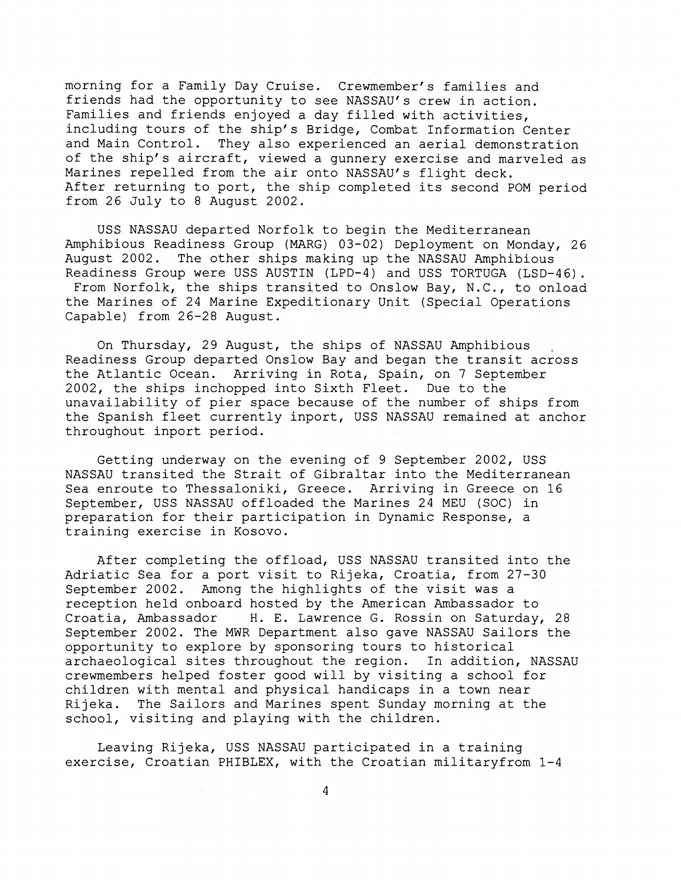morning for a Family Day Cruise. Crewmember's families and friends had the opportunity to see NASSAU'S crew in action. Families and friends enjoyed a day filled with activities, including tours of the ship's Bridge, Combat Information Center and Main Control. They also experienced an aerial demonstration of the ship's aircraft, viewed a gunnery exercise and marveled as Marines repelled from the air onto NASSAU'S flight deck. After returning to port, the ship completed its second POM period from 26 July to 8 August 2002.

USS NASSAU departed Norfolk to begin the Mediterranean Amphibious Readiness Group (MARG) 03-02) Deployment on Monday, 26 August 2002. The other ships making up the NASSAU Amphibious Readiness Group were USS AUSTIN (LPD-4) and USS TORTUGA (LSD-46). From Norfolk, the ships transited to Onslow Bay, N.C., to onload the Marines of 24 Marine Expeditionary Unit (Special Operations Capable) from 26-28 August.

On Thursday, 29 August, the ships of NASSAU Amphibious Readiness Group departed Onslow Bay and began the transit across the Atlantic Ocean. Arriving in Rota, Spain, on 7 September 2002, the ships inchopped into Sixth Fleet. Due to the unavailability of pier space because of the number of ships from the Spanish fleet currently inport, USS NASSAU remained at anchor throughout inport period.

Getting underway on the evening of 9 September 2002, USS NASSAU transited the Strait of Gibraltar into the Mediterranean Sea enroute to Thessaloniki, Greece. Arriving in Greece on 16 September, USS NASSAU offloaded the Marines 24 MEU (SOC) in preparation for their participation in Dynamic Response, a training exercise in Kosovo.

After completing the offload, USS NASSAU transited into the Adriatic Sea for a port visit to Rijeka, Croatia, from 27-30 September 2002. Among the highlights of the visit was a reception held onboard hosted by the American Ambassador to Croatia, Ambassador H. E. Lawrence G. Rossin on Saturday, 28 September 2002. The MWR Department also gave NASSAU Sailors the opportunity to explore by sponsoring tours to historical archaeological sites throughout the region. In addition, NASSAU crewmembers helped foster good will by visiting a school for children with mental and physical handicaps in a town near Rijeka. The Sailors and Marines spent Sunday morning at the school, visiting and playing with the children.

Leaving Rijeka, USS NASSAU participated in a training exercise, Croatian PHIBLEX, with the Croatian militaryfrom 1-4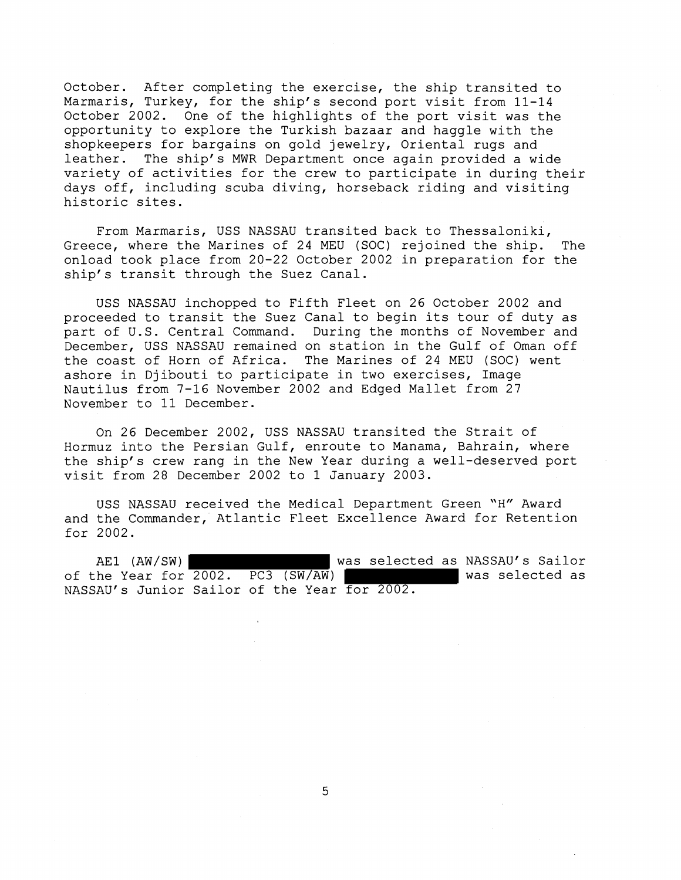October. After completing the exercise, the ship transited to Marmaris, Turkey, for the ship's second port visit from 11-14 October 2002. One of the highlights of the port visit was the opportunity to explore the Turkish bazaar and haggle with the shopkeepers for bargains on gold jewelry, Oriental rugs and leather. The ship's MWR Department once again provided a wide variety of activities for the crew to participate in during their days off, including scuba diving, horseback riding and visiting historic sites.

From Marmaris, USS NASSAU transited back to Thessaloniki, Greece, where the Marines of 24 MEU (SOC) rejoined the ship. The onload took place from 20-22 October 2002 in preparation for the ship's transit through the Suez Canal.

USS NASSAU inchopped to Fifth Fleet on 26 October 2002 and proceeded to transit the Suez Canal to begin its tour of duty as part of U.S. Central Command. During the months of November and December, USS NASSAU remained on station in the Gulf of Oman off the coast of Horn of Africa. The Marines of 24 MEU (SOC) went ashore in Djibouti to participate in two exercises, Image Nautilus from 7-16 November 2002 and Edged Mallet from 27 November to 11 December.

On 26 December 2002, USS NASSAU transited the Strait of Hormuz into the Persian Gulf, enroute to Manama, Bahrain, where the ship's crew rang in the New Year during a well-deserved port visit from 28 December 2002 to 1 January 2003.

USS NASSAU received the Medical Department Green 'H" Award and the Commander, Atlantic Fleet Excellence Award for Retention for 2002.

AE1 (AW/SW) was selected as NASSAU'S Sailor of the Year for  $\overline{2002}$ . PC3 (SW/AW)  $\overline{ }$  was selected as NASSAU'S Junior Sailor of the Year for 2002.

5